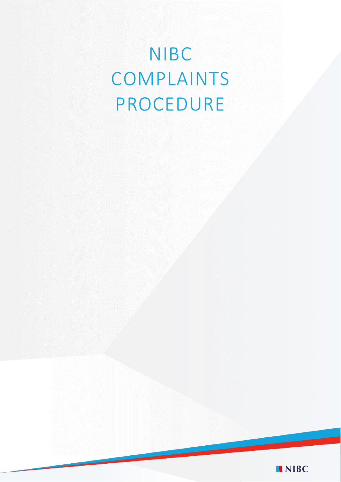# NIBC COMPLAINTS PROCEDURE

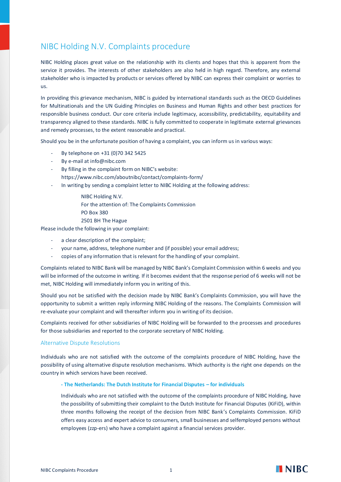## NIBC Holding N.V. Complaints procedure

NIBC Holding places great value on the relationship with its clients and hopes that this is apparent from the service it provides. The interests of other stakeholders are also held in high regard. Therefore, any external stakeholder who is impacted by products or services offered by NIBC can express their complaint or worries to us.

In providing this grievance mechanism, NIBC is guided by international standards such as the OECD Guidelines for Multinationals and the UN Guiding Principles on Business and Human Rights and other best practices for responsible business conduct. Our core criteria include legitimacy, accessibility, predictability, equitability and transparency aligned to these standards. NIBC is fully committed to cooperate in legitimate external grievances and remedy processes, to the extent reasonable and practical.

Should you be in the unfortunate position of having a complaint, you can inform us in various ways:

- By telephone on +31 (0)70 342 5425
- By e-mail at info@nibc.com
- By filling in the complaint form on NIBC's website: https://www.nibc.com/aboutnibc/contact/complaints-form/
- In writing by sending a complaint letter to NIBC Holding at the following address:
	- NIBC Holding N.V.
	- For the attention of: The Complaints Commission
	- PO Box 380
	- 2501 BH The Hague

Please include the following in your complaint:

- a clear description of the complaint;
- your name, address, telephone number and (if possible) your email address;
- copies of any information that is relevant for the handling of your complaint.

Complaints related to NIBC Bank will be managed by NIBC Bank's Complaint Commission within 6 weeks and you will be informed of the outcome in writing. If it becomes evident that the response period of 6 weeks will not be met, NIBC Holding will immediately inform you in writing of this.

Should you not be satisfied with the decision made by NIBC Bank's Complaints Commission, you will have the opportunity to submit a written reply informing NIBC Holding of the reasons. The Complaints Commission will re-evaluate your complaint and will thereafter inform you in writing of its decision.

Complaints received for other subsidiaries of NIBC Holding will be forwarded to the processes and procedures for those subsidiaries and reported to the corporate secretary of NIBC Holding.

#### Alternative Dispute Resolutions

Individuals who are not satisfied with the outcome of the complaints procedure of NIBC Holding, have the possibility of using alternative dispute resolution mechanisms. Which authority is the right one depends on the country in which services have been received.

#### **- The Netherlands: The Dutch Institute for Financial Disputes – for individuals**

Individuals who are not satisfied with the outcome of the complaints procedure of NIBC Holding, have the possibility of submitting their complaint to the Dutch Institute for Financial Disputes (KiFiD), within three months following the receipt of the decision from NIBC Bank's Complaints Commission. KiFiD offers easy access and expert advice to consumers, small businesses and selfemployed persons without employees (zzp-ers) who have a complaint against a financial services provider.